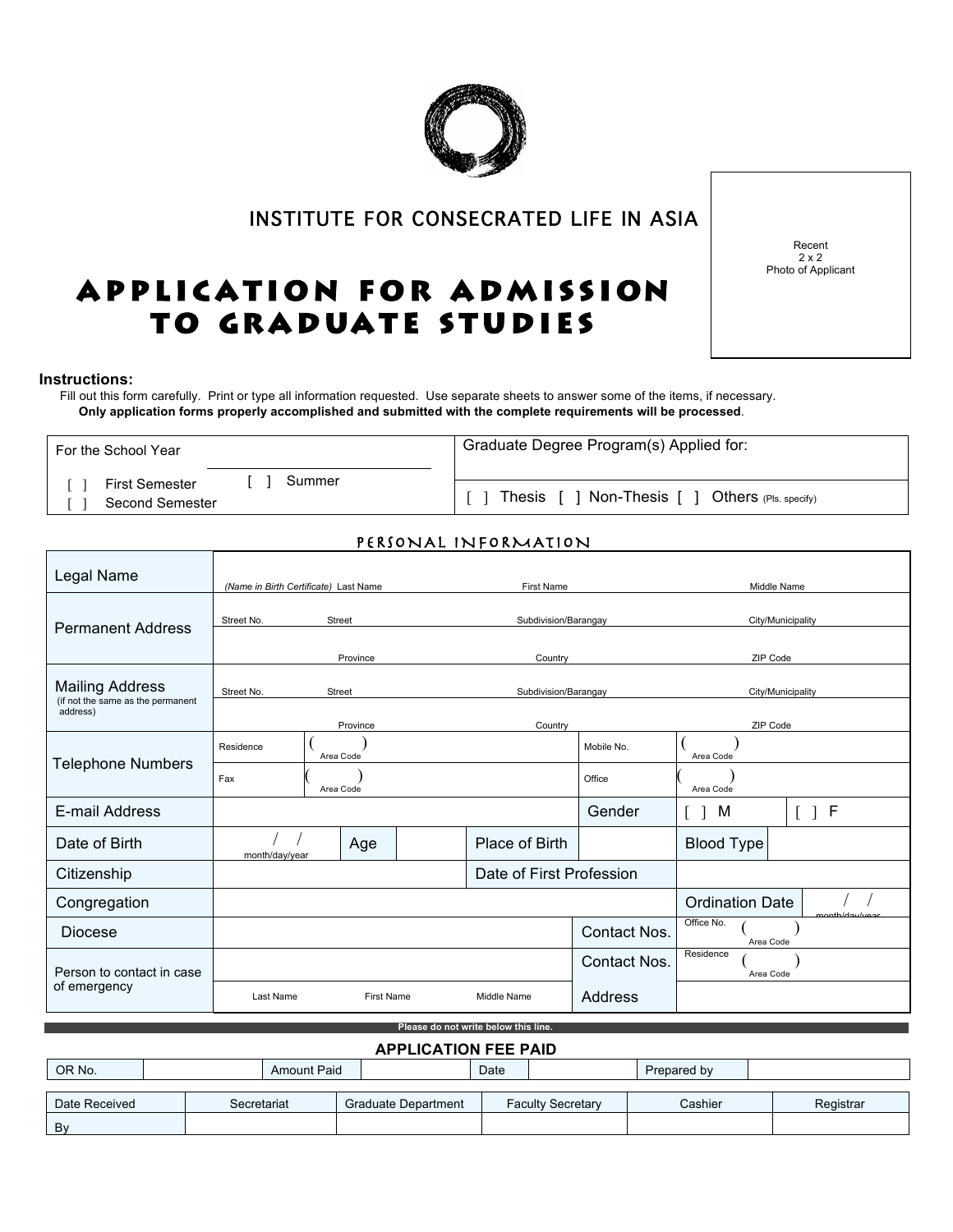# INSTITUTE FOR CONSECRATED LIFE IN ASIA

# Photo of Applicant<br>2 x 2<br>Photo of Applicant APPLICATION FOR ADMISSION TO GRADUATE STUDIES

#### **Instructions:**

 Fill out this form carefully. Print or type all information requested. Use separate sheets to answer some of the items, if necessary. **Only application forms properly accomplished and submitted with the complete requirements will be processed**.

For the School Year Graduate Degree Program(s) Applied for: [ ] First Semester [ ] Second Semester [ ] Summer [ ] Thesis [ ] Non-Thesis [ ] Others (Pls. specify)

### PERSONAL INFORMATION

| Legal Name                                                  | (Name in Birth Certificate) Last Name<br><b>First Name</b> |            |                      | Middle Name              |              |                         |                   |  |
|-------------------------------------------------------------|------------------------------------------------------------|------------|----------------------|--------------------------|--------------|-------------------------|-------------------|--|
| <b>Permanent Address</b>                                    | Street No.<br>Street                                       |            | Subdivision/Barangay |                          |              | City/Municipality       |                   |  |
|                                                             | Province                                                   |            |                      | Country                  |              | ZIP Code                |                   |  |
| <b>Mailing Address</b><br>(if not the same as the permanent | Street No.                                                 | Street     |                      | Subdivision/Barangay     |              |                         | City/Municipality |  |
| address)                                                    |                                                            | Province   |                      |                          |              | ZIP Code                |                   |  |
|                                                             | Residence<br>Area Code                                     |            |                      |                          | Mobile No.   | Area Code               |                   |  |
| <b>Telephone Numbers</b>                                    | Fax<br>Area Code                                           |            |                      | Office                   | Area Code    |                         |                   |  |
| E-mail Address                                              |                                                            |            |                      |                          | Gender       | M                       | [ ] F             |  |
| Date of Birth                                               | month/day/year                                             | Age        |                      | Place of Birth           |              | Blood Type              |                   |  |
| Citizenship                                                 |                                                            |            |                      | Date of First Profession |              |                         |                   |  |
| Congregation                                                |                                                            |            |                      |                          |              | <b>Ordination Date</b>  | nonth/day/y       |  |
| <b>Diocese</b>                                              |                                                            |            |                      |                          | Contact Nos. | Office No.<br>Area Code |                   |  |
| Person to contact in case<br>of emergency                   |                                                            |            |                      |                          | Contact Nos. | Residence<br>Area Code  |                   |  |
|                                                             | Last Name                                                  | First Name |                      | Middle Name              | Address      |                         |                   |  |
| Please do not write below this line.                        |                                                            |            |                      |                          |              |                         |                   |  |

| <b>APPLICATION FEE PAID</b> |                                                                                               |  |  |  |  |  |  |  |  |
|-----------------------------|-----------------------------------------------------------------------------------------------|--|--|--|--|--|--|--|--|
| OR No.                      | <b>Amount Paid</b><br>Date<br>Prepared by                                                     |  |  |  |  |  |  |  |  |
|                             |                                                                                               |  |  |  |  |  |  |  |  |
| Date Received               | Cashier<br><b>Graduate Department</b><br><b>Faculty Secretary</b><br>Registrar<br>Secretariat |  |  |  |  |  |  |  |  |
| Bv                          |                                                                                               |  |  |  |  |  |  |  |  |



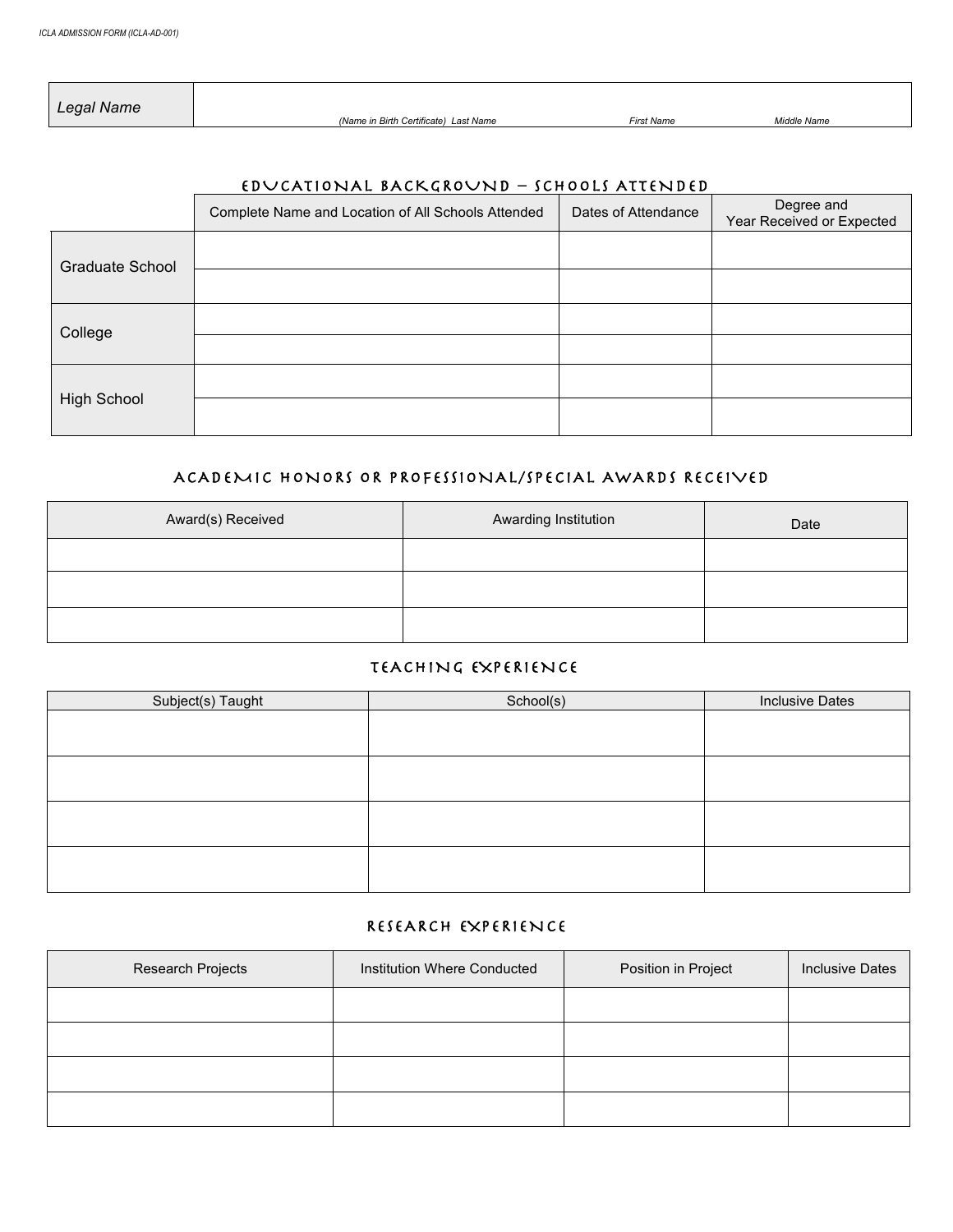*Legal Name (Name in Birth Certificate) Last Name First Name Middle Name*

### EDUCATIONAL BACKGROUND – SCHOOLS ATTENDED

|                    | Complete Name and Location of All Schools Attended | Dates of Attendance | Degree and<br>Year Received or Expected |
|--------------------|----------------------------------------------------|---------------------|-----------------------------------------|
| Graduate School    |                                                    |                     |                                         |
|                    |                                                    |                     |                                         |
| College            |                                                    |                     |                                         |
|                    |                                                    |                     |                                         |
| <b>High School</b> |                                                    |                     |                                         |
|                    |                                                    |                     |                                         |

### ACADEMIC HONORS OR PROFESSIONAL/SPECIAL AWARDS RECEIVED

| Award(s) Received | Awarding Institution | Date |
|-------------------|----------------------|------|
|                   |                      |      |
|                   |                      |      |
|                   |                      |      |

### TEACHING EXPERIENCE

| School(s) | <b>Inclusive Dates</b> |
|-----------|------------------------|
|           |                        |
|           |                        |
|           |                        |
|           |                        |
|           |                        |
|           |                        |
|           |                        |
|           |                        |
|           |                        |

#### RESEARCH EXPERIENCE

| Research Projects | Institution Where Conducted | Position in Project | <b>Inclusive Dates</b> |
|-------------------|-----------------------------|---------------------|------------------------|
|                   |                             |                     |                        |
|                   |                             |                     |                        |
|                   |                             |                     |                        |
|                   |                             |                     |                        |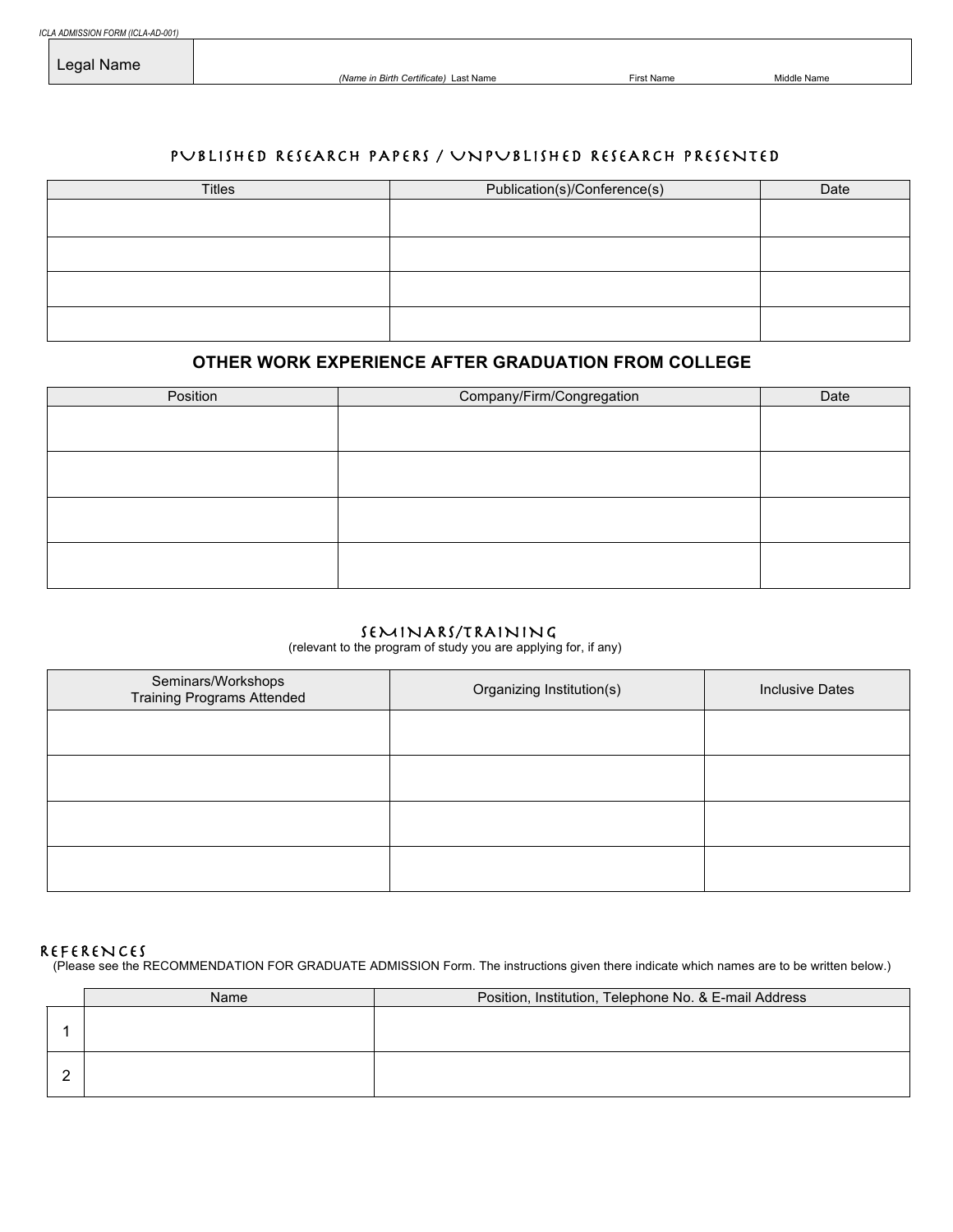*(Name in Birth Certificate)* Last Name **First Name** First Name Middle Name

#### PUBLISHED RESEARCH PAPERS / UNPUBLISHED RESEARCH PRESENTED

| <b>Titles</b> | Publication(s)/Conference(s) | Date |
|---------------|------------------------------|------|
|               |                              |      |
|               |                              |      |
|               |                              |      |
|               |                              |      |
|               |                              |      |
|               |                              |      |
|               |                              |      |
|               |                              |      |

#### **OTHER WORK EXPERIENCE AFTER GRADUATION FROM COLLEGE**

| Position | Company/Firm/Congregation | Date |
|----------|---------------------------|------|
|          |                           |      |
|          |                           |      |
|          |                           |      |
|          |                           |      |
|          |                           |      |
|          |                           |      |
|          |                           |      |
|          |                           |      |

#### SEMINARS/TRAINING

(relevant to the program of study you are applying for, if any)

| Seminars/Workshops<br><b>Training Programs Attended</b> | Organizing Institution(s) | <b>Inclusive Dates</b> |
|---------------------------------------------------------|---------------------------|------------------------|
|                                                         |                           |                        |
|                                                         |                           |                        |
|                                                         |                           |                        |
|                                                         |                           |                        |

#### REFERENCES

(Please see the RECOMMENDATION FOR GRADUATE ADMISSION Form. The instructions given there indicate which names are to be written below.)

| Name | Position, Institution, Telephone No. & E-mail Address |
|------|-------------------------------------------------------|
|      |                                                       |
|      |                                                       |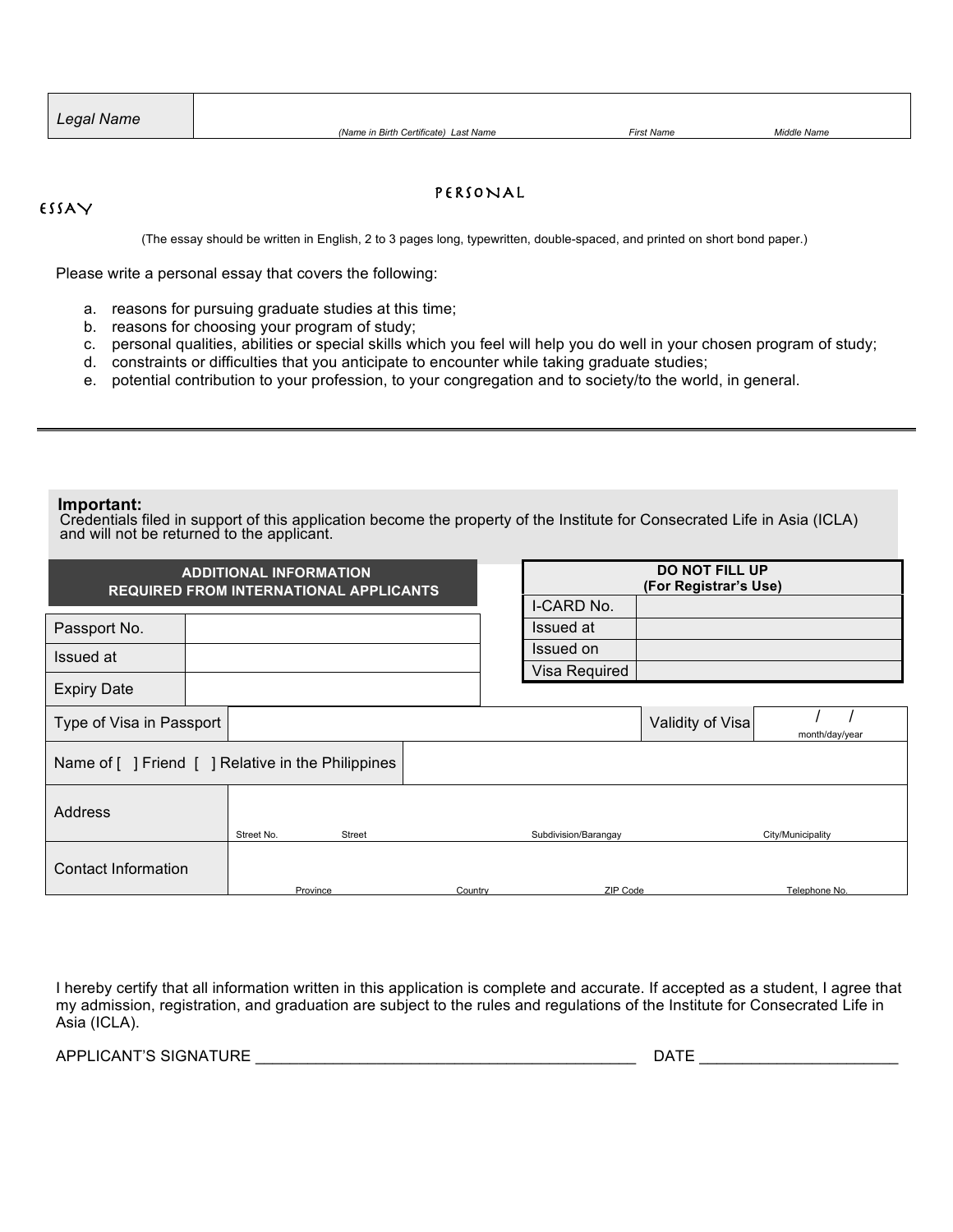| Legal Name |
|------------|
|            |

# PERSONAL ESSAY

(The essay should be written in English, 2 to 3 pages long, typewritten, double-spaced, and printed on short bond paper.)

Please write a personal essay that covers the following:

- a. reasons for pursuing graduate studies at this time;
- b. reasons for choosing your program of study;
- c. personal qualities, abilities or special skills which you feel will help you do well in your chosen program of study;
- d. constraints or difficulties that you anticipate to encounter while taking graduate studies;
- e. potential contribution to your profession, to your congregation and to society/to the world, in general.

#### **Important:**

Credentials filed in support of this application become the property of the Institute for Consecrated Life in Asia (ICLA) and will not be returned to the applicant.

| <b>ADDITIONAL INFORMATION</b><br><b>REQUIRED FROM INTERNATIONAL APPLICANTS</b> |  |            |          | <b>DO NOT FILL UP</b><br>(For Registrar's Use) |                      |                  |                   |
|--------------------------------------------------------------------------------|--|------------|----------|------------------------------------------------|----------------------|------------------|-------------------|
|                                                                                |  |            |          |                                                | I-CARD No.           |                  |                   |
| Passport No.                                                                   |  |            |          |                                                | Issued at            |                  |                   |
| Issued at                                                                      |  |            |          |                                                | Issued on            |                  |                   |
|                                                                                |  |            |          |                                                | Visa Required        |                  |                   |
| <b>Expiry Date</b>                                                             |  |            |          |                                                |                      |                  |                   |
| Type of Visa in Passport                                                       |  |            |          |                                                |                      | Validity of Visa | month/day/year    |
| Name of [ ] Friend [ ] Relative in the Philippines                             |  |            |          |                                                |                      |                  |                   |
| Address                                                                        |  | Street No. | Street   |                                                | Subdivision/Barangay |                  | City/Municipality |
| Contact Information                                                            |  |            | Province | Country                                        | ZIP Code             |                  | Telephone No.     |

I hereby certify that all information written in this application is complete and accurate. If accepted as a student, I agree that my admission, registration, and graduation are subject to the rules and regulations of the Institute for Consecrated Life in Asia (ICLA).

APPLICANT'S SIGNATURE \_\_\_\_\_\_\_\_\_\_\_\_\_\_\_\_\_\_\_\_\_\_\_\_\_\_\_\_\_\_\_\_\_\_\_\_\_\_\_\_\_\_\_\_ DATE \_\_\_\_\_\_\_\_\_\_\_\_\_\_\_\_\_\_\_\_\_\_\_